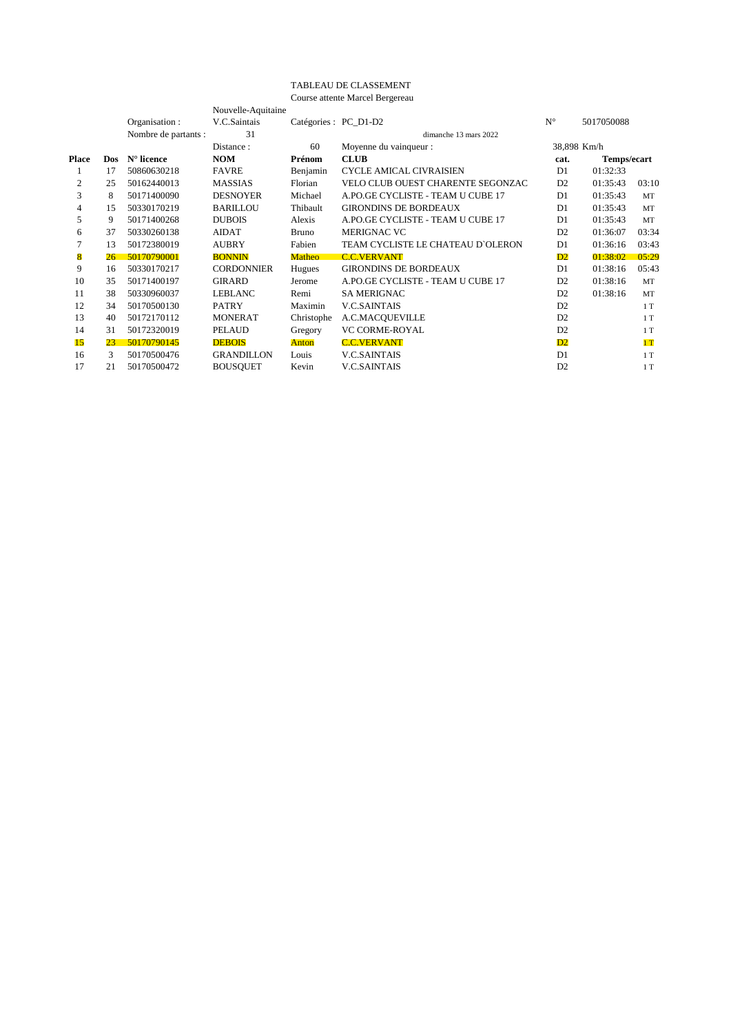## TABLEAU DE CLASSEMENT

Course attente Marcel Bergereau

|       |      |                      | Nouvelle-Aquitaine |               |                                   |                |             |           |  |
|-------|------|----------------------|--------------------|---------------|-----------------------------------|----------------|-------------|-----------|--|
|       |      | Organisation :       | V.C.Saintais       |               | Catégories : PC_D1-D2             | $N^{\circ}$    | 5017050088  |           |  |
|       |      | Nombre de partants : | 31                 |               | dimanche 13 mars 2022             |                |             |           |  |
|       |      |                      | Distance:          | 60            | Moyenne du vainqueur :            |                | 38,898 Km/h |           |  |
| Place | Dos. | $N^{\circ}$ licence  | <b>NOM</b>         | Prénom        | <b>CLUB</b>                       | cat.           | Temps/ecart |           |  |
| 1     | 17   | 50860630218          | <b>FAVRE</b>       | Benjamin      | <b>CYCLE AMICAL CIVRAISIEN</b>    | D1             | 01:32:33    |           |  |
| 2     | 25   | 50162440013          | <b>MASSIAS</b>     | Florian       | VELO CLUB OUEST CHARENTE SEGONZAC | D <sub>2</sub> | 01:35:43    | 03:10     |  |
| 3     | 8    | 50171400090          | <b>DESNOYER</b>    | Michael       | A.PO.GE CYCLISTE - TEAM U CUBE 17 | D1             | 01:35:43    | <b>MT</b> |  |
| 4     | 15   | 50330170219          | <b>BARILLOU</b>    | Thibault      | <b>GIRONDINS DE BORDEAUX</b>      | D1             | 01:35:43    | MT        |  |
| 5     | 9    | 50171400268          | <b>DUBOIS</b>      | Alexis        | A.PO.GE CYCLISTE - TEAM U CUBE 17 | D1             | 01:35:43    | <b>MT</b> |  |
| 6     | 37   | 50330260138          | AIDAT              | <b>Bruno</b>  | <b>MERIGNAC VC</b>                | D2             | 01:36:07    | 03:34     |  |
|       | 13   | 50172380019          | <b>AUBRY</b>       | Fabien        | TEAM CYCLISTE LE CHATEAU D'OLERON | D1             | 01:36:16    | 03:43     |  |
| 8     | 26   | 50170790001          | <b>BONNIN</b>      | Matheo        | <b>C.C.VERVANT</b>                | D2             | 01:38:02    | 05:29     |  |
| 9     | 16   | 50330170217          | <b>CORDONNIER</b>  | <b>Hugues</b> | <b>GIRONDINS DE BORDEAUX</b>      | D <sub>1</sub> | 01:38:16    | 05:43     |  |
| 10    | 35   | 50171400197          | <b>GIRARD</b>      | Jerome        | A.PO.GE CYCLISTE - TEAM U CUBE 17 | D <sub>2</sub> | 01:38:16    | MT        |  |
| 11    | 38   | 50330960037          | LEBLANC            | Remi          | <b>SA MERIGNAC</b>                | D2             | 01:38:16    | <b>MT</b> |  |
| 12    | 34   | 50170500130          | <b>PATRY</b>       | Maximin       | <b>V.C.SAINTAIS</b>               | D2             |             | 1T        |  |
| 13    | 40   | 50172170112          | <b>MONERAT</b>     | Christophe    | A.C.MACOUEVILLE                   | D2             |             | 1T        |  |
| 14    | 31   | 50172320019          | <b>PELAUD</b>      | Gregory       | <b>VC CORME-ROYAL</b>             | D <sub>2</sub> |             | 1T        |  |
| 15    | 23   | 50170790145          | <b>DEBOIS</b>      | Anton         | <b>C.C.VERVANT</b>                | D <sub>2</sub> |             | 1T        |  |
| 16    | 3    | 50170500476          | <b>GRANDILLON</b>  | Louis         | <b>V.C.SAINTAIS</b>               | D <sub>1</sub> |             | 1T        |  |
| 17    | 21   | 50170500472          | <b>BOUSQUET</b>    | Kevin         | <b>V.C.SAINTAIS</b>               | D2             |             | 1T        |  |